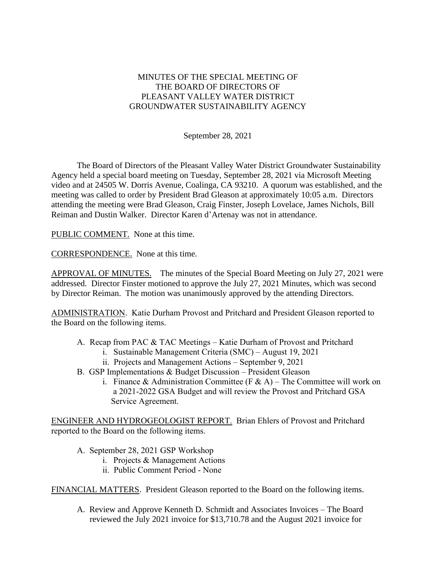## MINUTES OF THE SPECIAL MEETING OF THE BOARD OF DIRECTORS OF PLEASANT VALLEY WATER DISTRICT GROUNDWATER SUSTAINABILITY AGENCY

September 28, 2021

The Board of Directors of the Pleasant Valley Water District Groundwater Sustainability Agency held a special board meeting on Tuesday, September 28, 2021 via Microsoft Meeting video and at 24505 W. Dorris Avenue, Coalinga, CA 93210. A quorum was established, and the meeting was called to order by President Brad Gleason at approximately 10:05 a.m. Directors attending the meeting were Brad Gleason, Craig Finster, Joseph Lovelace, James Nichols, Bill Reiman and Dustin Walker. Director Karen d'Artenay was not in attendance.

PUBLIC COMMENT. None at this time.

CORRESPONDENCE. None at this time.

APPROVAL OF MINUTES. The minutes of the Special Board Meeting on July 27, 2021 were addressed. Director Finster motioned to approve the July 27, 2021 Minutes, which was second by Director Reiman. The motion was unanimously approved by the attending Directors.

ADMINISTRATION. Katie Durham Provost and Pritchard and President Gleason reported to the Board on the following items.

- A. Recap from PAC & TAC Meetings Katie Durham of Provost and Pritchard
	- i. Sustainable Management Criteria (SMC) August 19, 2021
	- ii. Projects and Management Actions September 9, 2021
- B. GSP Implementations & Budget Discussion President Gleason
	- i. Finance & Administration Committee (F & A) The Committee will work on a 2021-2022 GSA Budget and will review the Provost and Pritchard GSA Service Agreement.

ENGINEER AND HYDROGEOLOGIST REPORT. Brian Ehlers of Provost and Pritchard reported to the Board on the following items.

- A. September 28, 2021 GSP Workshop
	- i. Projects & Management Actions
	- ii. Public Comment Period None

FINANCIAL MATTERS. President Gleason reported to the Board on the following items.

A. Review and Approve Kenneth D. Schmidt and Associates Invoices – The Board reviewed the July 2021 invoice for \$13,710.78 and the August 2021 invoice for